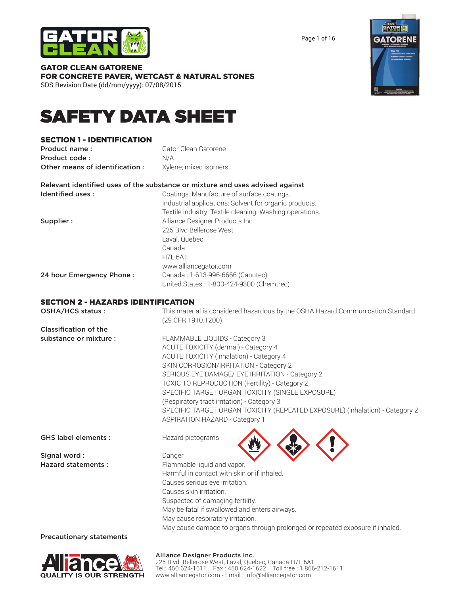

Page 1 of 16



#### GATOR CLEAN GATORENE FOR CONCRETE PAVER, WETCAST & NATURAL STONES SDS Revision Date (dd/mm/yyyy): 07/08/2015

# SAFETY DATA SHEET

#### SECTION 1 - IDENTIFICATION

| Product name:                  | Gator Clean Gatorene  |
|--------------------------------|-----------------------|
| Product code:                  | N/A                   |
| Other means of identification: | Xylene, mixed isomers |

Relevant identified uses of the substance or mixture and uses advised against Identified uses: Coatings: Manufacture of surface coatings.

|                          | Industrial applications: Solvent for organic products.  |
|--------------------------|---------------------------------------------------------|
|                          | Textile industry: Textile cleaning. Washing operations. |
| Supplier :               | Alliance Designer Products Inc.                         |
|                          | 225 Blvd Bellerose West                                 |
|                          | Laval, Quebec                                           |
|                          | Canada                                                  |
|                          | <b>H7L 6A1</b>                                          |
|                          | www.alliancegator.com                                   |
| 24 hour Emergency Phone: | Canada: 1-613-996-6666 (Canutec)                        |
|                          | United States: 1-800-424-9300 (Chemtrec)                |
|                          |                                                         |

#### SECTION 2 - HAZARDS IDENTIFICATION

| OSHA/HCS status :               | This material is considered hazardous by the OSHA Hazard Communication Standard<br>(29 CFR 1910.1200). |
|---------------------------------|--------------------------------------------------------------------------------------------------------|
| <b>Classification of the</b>    |                                                                                                        |
| substance or mixture :          | FLAMMABLE LIQUIDS - Category 3                                                                         |
|                                 | ACUTE TOXICITY (dermal) - Category 4                                                                   |
|                                 | ACUTE TOXICITY (inhalation) - Category 4                                                               |
|                                 | SKIN CORROSION/IRRITATION - Category 2                                                                 |
|                                 | SERIOUS EYE DAMAGE/ EYE IRRITATION - Category 2                                                        |
|                                 | TOXIC TO REPRODUCTION (Fertility) - Category 2                                                         |
|                                 | SPECIFIC TARGET ORGAN TOXICITY (SINGLE EXPOSURE)                                                       |
|                                 | (Respiratory tract irritation) - Category 3                                                            |
|                                 | SPECIFIC TARGET ORGAN TOXICITY (REPEATED EXPOSURE) (inhalation) - Category 2                           |
|                                 | <b>ASPIRATION HAZARD - Category 1</b>                                                                  |
| <b>GHS label elements:</b>      | Hazard pictograms                                                                                      |
| Signal word:                    | Danger                                                                                                 |
| <b>Hazard statements:</b>       | Flammable liquid and vapor.                                                                            |
|                                 | Harmful in contact with skin or if inhaled.                                                            |
|                                 | Causes serious eye irritation.                                                                         |
|                                 | Causes skin irritation.                                                                                |
|                                 | Suspected of damaging fertility.                                                                       |
|                                 | May be fatal if swallowed and enters airways.                                                          |
|                                 | May cause respiratory irritation.                                                                      |
|                                 | May cause damage to organs through prolonged or repeated exposure if inhaled.                          |
| <b>Precautionary statements</b> |                                                                                                        |

Precautionary statements



#### Alliance Designer Products Inc.

225 Blvd. Bellerose West, Laval, Quebec, Canada H7L 6A1 Tel.: 450 624-1611 Fax : 450 624-1622 Toll free : 1 866-212-1611 www.alliancegator.com - Email : info@alliancegator.com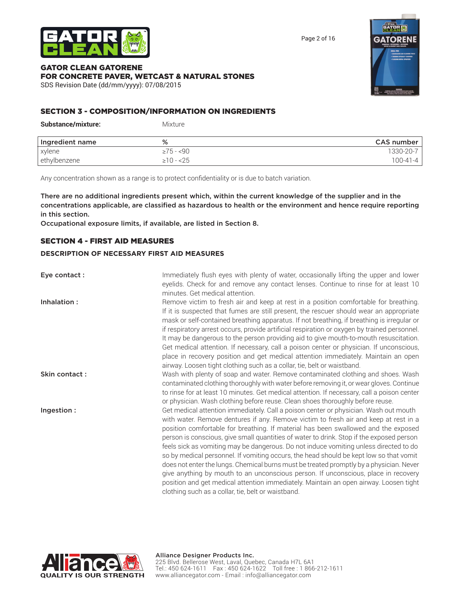

Page 2 of 16

#### GATOR CLEAN GATORENE FOR CONCRETE PAVER, WETCAST & NATURAL STONES SDS Revision Date (dd/mm/yyyy): 07/08/2015



#### SECTION 3 - COMPOSITION/INFORMATION ON INGREDIENTS

| <b>Substance/mixture:</b> | Mixture         |            |
|---------------------------|-----------------|------------|
| Ingredient name           | %               | CAS number |
| xylene                    | $\geq 75 - 590$ | 1330-20-7  |
| ethylbenzene              | $\geq 10 - 25$  | $100-41-4$ |

Any concentration shown as a range is to protect confidentiality or is due to batch variation.

There are no additional ingredients present which, within the current knowledge of the supplier and in the concentrations applicable, are classified as hazardous to health or the environment and hence require reporting in this section.

Occupational exposure limits, if available, are listed in Section 8.

#### SECTION 4 - FIRST AID MEASURES

#### **DESCRIPTION OF NECESSARY FIRST AID MEASURES**

| Eye contact:  | Immediately flush eyes with plenty of water, occasionally lifting the upper and lower        |
|---------------|----------------------------------------------------------------------------------------------|
|               | eyelids. Check for and remove any contact lenses. Continue to rinse for at least 10          |
|               | minutes. Get medical attention.                                                              |
| Inhalation:   | Remove victim to fresh air and keep at rest in a position comfortable for breathing.         |
|               | If it is suspected that fumes are still present, the rescuer should wear an appropriate      |
|               | mask or self-contained breathing apparatus. If not breathing, if breathing is irregular or   |
|               | if respiratory arrest occurs, provide artificial respiration or oxygen by trained personnel. |
|               | It may be dangerous to the person providing aid to give mouth-to-mouth resuscitation.        |
|               | Get medical attention. If necessary, call a poison center or physician. If unconscious,      |
|               | place in recovery position and get medical attention immediately. Maintain an open           |
|               | airway. Loosen tight clothing such as a collar, tie, belt or waistband.                      |
| Skin contact: | Wash with plenty of soap and water. Remove contaminated clothing and shoes. Wash             |
|               | contaminated clothing thoroughly with water before removing it, or wear gloves. Continue     |
|               | to rinse for at least 10 minutes. Get medical attention. If necessary, call a poison center  |
|               | or physician. Wash clothing before reuse. Clean shoes thoroughly before reuse.               |
| Ingestion:    | Get medical attention immediately. Call a poison center or physician. Wash out mouth         |
|               | with water. Remove dentures if any. Remove victim to fresh air and keep at rest in a         |
|               | position comfortable for breathing. If material has been swallowed and the exposed           |
|               | person is conscious, give small quantities of water to drink. Stop if the exposed person     |
|               | feels sick as vomiting may be dangerous. Do not induce vomiting unless directed to do        |
|               | so by medical personnel. If vomiting occurs, the head should be kept low so that vomit       |
|               | does not enter the lungs. Chemical burns must be treated promptly by a physician. Never      |
|               | give anything by mouth to an unconscious person. If unconscious, place in recovery           |
|               | position and get medical attention immediately. Maintain an open airway. Loosen tight        |

clothing such as a collar, tie, belt or waistband.

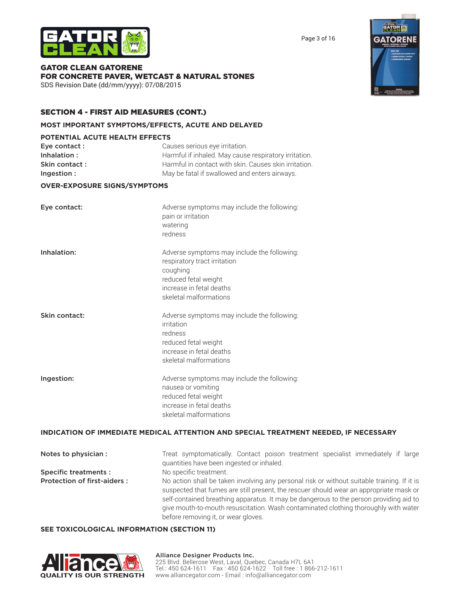



GATOR CLEAN GATORENE FOR CONCRETE PAVER, WETCAST & NATURAL STONES SDS Revision Date (dd/mm/yyyy): 07/08/2015

#### SECTION 4 - FIRST AID MEASURES (CONT.)

#### **MOST IMPORTANT SYMPTOMS/EFFECTS, ACUTE AND DELAYED**

#### **POTENTIAL ACUTE HEALTH EFFECTS**

| Eye contact : | Causes serious eye irritation.                        |
|---------------|-------------------------------------------------------|
| Inhalation:   | Harmful if inhaled. May cause respiratory irritation. |
| Skin contact: | Harmful in contact with skin. Causes skin irritation. |
| Ingestion:    | May be fatal if swallowed and enters airways.         |

#### **OVER-EXPOSURE SIGNS/SYMPTOMS**

| Eye contact:  | Adverse symptoms may include the following:<br>pain or irritation<br>watering<br>redness                                                                              |
|---------------|-----------------------------------------------------------------------------------------------------------------------------------------------------------------------|
| Inhalation:   | Adverse symptoms may include the following:<br>respiratory tract irritation<br>coughing<br>reduced fetal weight<br>increase in fetal deaths<br>skeletal malformations |
| Skin contact: | Adverse symptoms may include the following:<br>irritation<br>redness<br>reduced fetal weight<br>increase in fetal deaths<br>skeletal malformations                    |
| Ingestion:    | Adverse symptoms may include the following:<br>nausea or vomiting<br>reduced fetal weight<br>increase in fetal deaths<br>skeletal malformations                       |

#### **INDICATION OF IMMEDIATE MEDICAL ATTENTION AND SPECIAL TREATMENT NEEDED, IF NECESSARY**

| Notes to physician :               | Treat symptomatically. Contact poison treatment specialist immediately if large<br>quantities have been ingested or inhaled.                                                                                                                                                                                                                                                                                  |  |
|------------------------------------|---------------------------------------------------------------------------------------------------------------------------------------------------------------------------------------------------------------------------------------------------------------------------------------------------------------------------------------------------------------------------------------------------------------|--|
| <b>Specific treatments:</b>        | No specific treatment.                                                                                                                                                                                                                                                                                                                                                                                        |  |
| <b>Protection of first-aiders:</b> | No action shall be taken involving any personal risk or without suitable training. If it is<br>suspected that fumes are still present, the rescuer should wear an appropriate mask or<br>self-contained breathing apparatus. It may be dangerous to the person providing aid to<br>give mouth-to-mouth resuscitation. Wash contaminated clothing thoroughly with water<br>before removing it, or wear gloves. |  |

#### **SEE TOXICOLOGICAL INFORMATION (SECTION 11)**



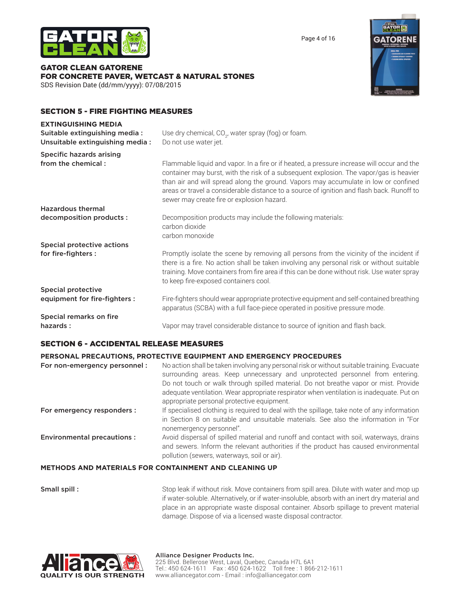

Page 4 of 16

#### GATOR CLEAN GATORENE FOR CONCRETE PAVER, WETCAST & NATURAL STONES SDS Revision Date (dd/mm/yyyy): 07/08/2015



#### SECTION 5 - FIRE FIGHTING MEASURES

| <b>EXTINGUISHING MEDIA</b><br>Suitable extinguishing media:<br>Unsuitable extinguishing media: | Use dry chemical, CO <sub>2</sub> , water spray (fog) or foam.<br>Do not use water jet.                                                                                                                                                                                                                                                                                                                                |
|------------------------------------------------------------------------------------------------|------------------------------------------------------------------------------------------------------------------------------------------------------------------------------------------------------------------------------------------------------------------------------------------------------------------------------------------------------------------------------------------------------------------------|
| <b>Specific hazards arising</b><br>from the chemical:                                          | Flammable liquid and vapor. In a fire or if heated, a pressure increase will occur and the<br>container may burst, with the risk of a subsequent explosion. The vapor/gas is heavier<br>than air and will spread along the ground. Vapors may accumulate in low or confined<br>areas or travel a considerable distance to a source of ignition and flash back. Runoff to<br>sewer may create fire or explosion hazard. |
| <b>Hazardous thermal</b>                                                                       |                                                                                                                                                                                                                                                                                                                                                                                                                        |
| decomposition products :                                                                       | Decomposition products may include the following materials:<br>carbon dioxide<br>carbon monoxide                                                                                                                                                                                                                                                                                                                       |
| Special protective actions                                                                     |                                                                                                                                                                                                                                                                                                                                                                                                                        |
| for fire-fighters :                                                                            | Promptly isolate the scene by removing all persons from the vicinity of the incident if<br>there is a fire. No action shall be taken involving any personal risk or without suitable<br>training. Move containers from fire area if this can be done without risk. Use water spray<br>to keep fire-exposed containers cool.                                                                                            |
| <b>Special protective</b>                                                                      |                                                                                                                                                                                                                                                                                                                                                                                                                        |
| equipment for fire-fighters :                                                                  | Fire-fighters should wear appropriate protective equipment and self-contained breathing<br>apparatus (SCBA) with a full face-piece operated in positive pressure mode.                                                                                                                                                                                                                                                 |
| Special remarks on fire                                                                        |                                                                                                                                                                                                                                                                                                                                                                                                                        |
| hazards:                                                                                       | Vapor may travel considerable distance to source of ignition and flash back.                                                                                                                                                                                                                                                                                                                                           |

#### SECTION 6 - ACCIDENTAL RELEASE MEASURES

#### **PERSONAL PRECAUTIONS, PROTECTIVE EQUIPMENT AND EMERGENCY PROCEDURES**

| For non-emergency personnel:      | No action shall be taken involving any personal risk or without suitable training. Evacuate<br>surrounding areas. Keep unnecessary and unprotected personnel from entering.<br>Do not touch or walk through spilled material. Do not breathe vapor or mist. Provide<br>adequate ventilation. Wear appropriate respirator when ventilation is inadequate. Put on<br>appropriate personal protective equipment. |
|-----------------------------------|---------------------------------------------------------------------------------------------------------------------------------------------------------------------------------------------------------------------------------------------------------------------------------------------------------------------------------------------------------------------------------------------------------------|
| For emergency responders :        | If specialised clothing is required to deal with the spillage, take note of any information<br>in Section 8 on suitable and unsuitable materials. See also the information in "For<br>nonemergency personnel".                                                                                                                                                                                                |
| <b>Environmental precautions:</b> | Avoid dispersal of spilled material and runoff and contact with soil, waterways, drains<br>and sewers. Inform the relevant authorities if the product has caused environmental<br>pollution (sewers, waterways, soil or air).                                                                                                                                                                                 |
|                                   | AR CANTAINMENT AND CLEANING UR                                                                                                                                                                                                                                                                                                                                                                                |

#### **METHODS AND MATERIALS FOR CONTAINMENT AND CLEANING UP**

**Small spill :** Stop leak if without risk. Move containers from spill area. Dilute with water and mop up if water-soluble. Alternatively, or if water-insoluble, absorb with an inert dry material and place in an appropriate waste disposal container. Absorb spillage to prevent material damage. Dispose of via a licensed waste disposal contractor.

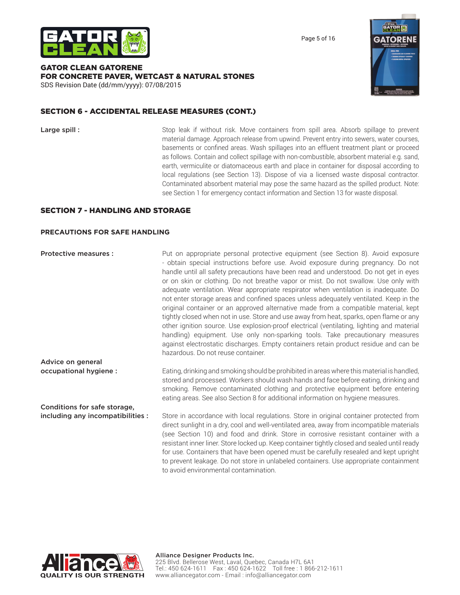

Page 5 of 16

#### GATOR CLEAN GATORENE FOR CONCRETE PAVER, WETCAST & NATURAL STONES

SDS Revision Date (dd/mm/yyyy): 07/08/2015

#### SECTION 6 - ACCIDENTAL RELEASE MEASURES (CONT.)

**Large spill :** Stop leak if without risk. Move containers from spill area. Absorb spillage to prevent material damage. Approach release from upwind. Prevent entry into sewers, water courses, basements or confined areas. Wash spillages into an effluent treatment plant or proceed as follows. Contain and collect spillage with non-combustible, absorbent material e.g. sand, earth, vermiculite or diatomaceous earth and place in container for disposal according to local regulations (see Section 13). Dispose of via a licensed waste disposal contractor. Contaminated absorbent material may pose the same hazard as the spilled product. Note: see Section 1 for emergency contact information and Section 13 for waste disposal.

#### SECTION 7 - HANDLING AND STORAGE

#### **PRECAUTIONS FOR SAFE HANDLING**

**Protective measures :** Put on appropriate personal protective equipment (see Section 8). Avoid exposure - obtain special instructions before use. Avoid exposure during pregnancy. Do not handle until all safety precautions have been read and understood. Do not get in eyes or on skin or clothing. Do not breathe vapor or mist. Do not swallow. Use only with adequate ventilation. Wear appropriate respirator when ventilation is inadequate. Do not enter storage areas and confined spaces unless adequately ventilated. Keep in the original container or an approved alternative made from a compatible material, kept tightly closed when not in use. Store and use away from heat, sparks, open flame or any other ignition source. Use explosion-proof electrical (ventilating, lighting and material handling) equipment. Use only non-sparking tools. Take precautionary measures against electrostatic discharges. Empty containers retain product residue and can be hazardous. Do not reuse container. Advice on general

occupational hygiene : Eating, drinking and smoking should be prohibited in areas where this material is handled, stored and processed. Workers should wash hands and face before eating, drinking and smoking. Remove contaminated clothing and protective equipment before entering eating areas. See also Section 8 for additional information on hygiene measures.

including any incompatibilities : Store in accordance with local regulations. Store in original container protected from direct sunlight in a dry, cool and well-ventilated area, away from incompatible materials (see Section 10) and food and drink. Store in corrosive resistant container with a resistant inner liner. Store locked up. Keep container tightly closed and sealed until ready for use. Containers that have been opened must be carefully resealed and kept upright to prevent leakage. Do not store in unlabeled containers. Use appropriate containment to avoid environmental contamination.



Conditions for safe storage,

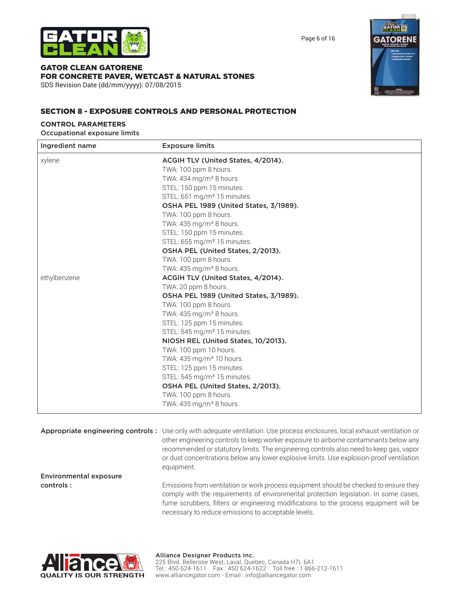

Page 6 of 16

#### GATOR CLEAN GATORENE FOR CONCRETE PAVER, WETCAST & NATURAL STONES

SDS Revision Date (dd/mm/yyyy): 07/08/2015



#### SECTION 8 - EXPOSURE CONTROLS AND PERSONAL PROTECTION

#### **CONTROL PARAMETERS**

Occupational exposure limits

| Ingredient name | <b>Exposure limits</b>                        |  |
|-----------------|-----------------------------------------------|--|
| xylene          | ACGIH TLV (United States, 4/2014).            |  |
|                 | TWA: 100 ppm 8 hours.                         |  |
|                 | TWA: 434 mg/m <sup>3</sup> 8 hours.           |  |
|                 | STEL: 150 ppm 15 minutes.                     |  |
|                 | STEL: 651 mg/m <sup>3</sup> 15 minutes.       |  |
|                 | <b>OSHA PEL 1989 (United States, 3/1989).</b> |  |
|                 | TWA: 100 ppm 8 hours.                         |  |
|                 | TWA: $435 \,\mathrm{mg/m}^3$ 8 hours.         |  |
|                 | STEL: 150 ppm 15 minutes.                     |  |
|                 | STEL: 655 mg/m <sup>3</sup> 15 minutes.       |  |
|                 | OSHA PEL (United States, 2/2013).             |  |
|                 | TWA: 100 ppm 8 hours.                         |  |
|                 | TWA: $435 \,\mathrm{mg/m}^3$ 8 hours.         |  |
| ethylbenzene    | ACGIH TLV (United States, 4/2014).            |  |
|                 | TWA: 20 ppm 8 hours.                          |  |
|                 | OSHA PEL 1989 (United States, 3/1989).        |  |
|                 | TWA: 100 ppm 8 hours.                         |  |
|                 | TWA: 435 mg/m <sup>3</sup> 8 hours.           |  |
|                 | STEL: 125 ppm 15 minutes.                     |  |
|                 | STEL: 545 mg/m <sup>3</sup> 15 minutes.       |  |
|                 | NIOSH REL (United States, 10/2013).           |  |
|                 | TWA: 100 ppm 10 hours.                        |  |
|                 | TWA: 435 mg/m <sup>3</sup> 10 hours.          |  |
|                 | STEL: 125 ppm 15 minutes.                     |  |
|                 | STEL: 545 mg/m <sup>3</sup> 15 minutes.       |  |
|                 | OSHA PEL (United States, 2/2013).             |  |
|                 | TWA: 100 ppm 8 hours.                         |  |
|                 | TWA: 435 mg/m <sup>3</sup> 8 hours.           |  |

Appropriate engineering controls : Use only with adequate ventilation. Use process enclosures, local exhaust ventilation or other engineering controls to keep worker exposure to airborne contaminants below any recommended or statutory limits. The engineering controls also need to keep gas, vapor or dust concentrations below any lower explosive limits. Use explosion-proof ventilation equipment.

Environmental exposure

controls : Emissions from ventilation or work process equipment should be checked to ensure they comply with the requirements of environmental protection legislation. In some cases, fume scrubbers, filters or engineering modifications to the process equipment will be necessary to reduce emissions to acceptable levels.

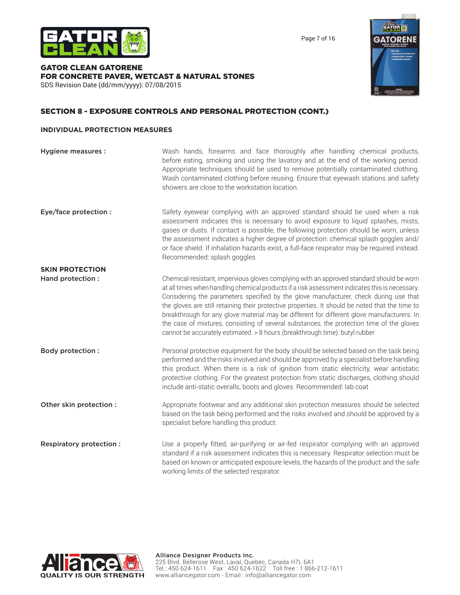



GATOR CLEAN GATORENE FOR CONCRETE PAVER, WETCAST & NATURAL STONES SDS Revision Date (dd/mm/yyyy): 07/08/2015



#### SECTION 8 - EXPOSURE CONTROLS AND PERSONAL PROTECTION (CONT.)

#### **INDIVIDUAL PROTECTION MEASURES**

| <b>Hygiene measures:</b>       | Wash hands, forearms and face thoroughly after handling chemical products,<br>before eating, smoking and using the lavatory and at the end of the working period.<br>Appropriate techniques should be used to remove potentially contaminated clothing.<br>Wash contaminated clothing before reusing. Ensure that eyewash stations and safety<br>showers are close to the workstation location.                                                                                                                                                                                                                                                                  |
|--------------------------------|------------------------------------------------------------------------------------------------------------------------------------------------------------------------------------------------------------------------------------------------------------------------------------------------------------------------------------------------------------------------------------------------------------------------------------------------------------------------------------------------------------------------------------------------------------------------------------------------------------------------------------------------------------------|
| Eye/face protection :          | Safety eyewear complying with an approved standard should be used when a risk<br>assessment indicates this is necessary to avoid exposure to liquid splashes, mists,<br>gases or dusts. If contact is possible, the following protection should be worn, unless<br>the assessment indicates a higher degree of protection: chemical splash goggles and/<br>or face shield. If inhalation hazards exist, a full-face respirator may be required instead.<br>Recommended: splash goggles                                                                                                                                                                           |
| <b>SKIN PROTECTION</b>         |                                                                                                                                                                                                                                                                                                                                                                                                                                                                                                                                                                                                                                                                  |
| Hand protection :              | Chemical-resistant, impervious gloves complying with an approved standard should be worn<br>at all times when handling chemical products if a risk assessment indicates this is necessary.<br>Considering the parameters specified by the glove manufacturer, check during use that<br>the gloves are still retaining their protective properties. It should be noted that the time to<br>breakthrough for any glove material may be different for different glove manufacturers. In<br>the case of mixtures, consisting of several substances, the protection time of the gloves<br>cannot be accurately estimated. > 8 hours (breakthrough time): butyl rubber |
| <b>Body protection:</b>        | Personal protective equipment for the body should be selected based on the task being<br>performed and the risks involved and should be approved by a specialist before handling<br>this product. When there is a risk of ignition from static electricity, wear antistatic<br>protective clothing. For the greatest protection from static discharges, clothing should<br>include anti-static overalls, boots and gloves. Recommended: lab coat                                                                                                                                                                                                                 |
| Other skin protection :        | Appropriate footwear and any additional skin protection measures should be selected<br>based on the task being performed and the risks involved and should be approved by a<br>specialist before handling this product.                                                                                                                                                                                                                                                                                                                                                                                                                                          |
| <b>Respiratory protection:</b> | Use a properly fitted, air-purifying or air-fed respirator complying with an approved<br>standard if a risk assessment indicates this is necessary. Respirator selection must be<br>based on known or anticipated exposure levels, the hazards of the product and the safe<br>working limits of the selected respirator.                                                                                                                                                                                                                                                                                                                                         |

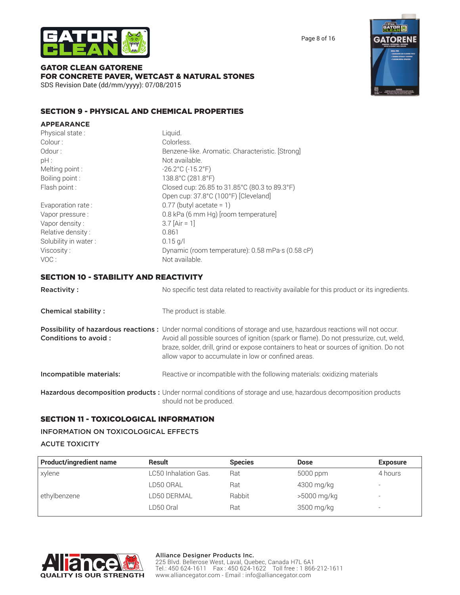



GATOR CLEAN GATORENE FOR CONCRETE PAVER, WETCAST & NATURAL STONES SDS Revision Date (dd/mm/yyyy): 07/08/2015

#### SECTION 9 - PHYSICAL AND CHEMICAL PROPERTIES

| <b>APPEARANCE</b>                            |                                                                                                                                                                                                                                                                                                                                                                 |
|----------------------------------------------|-----------------------------------------------------------------------------------------------------------------------------------------------------------------------------------------------------------------------------------------------------------------------------------------------------------------------------------------------------------------|
| Physical state:                              | Liquid.                                                                                                                                                                                                                                                                                                                                                         |
| Colour:                                      | Colorless.                                                                                                                                                                                                                                                                                                                                                      |
| Odour:                                       | Benzene-like. Aromatic. Characteristic. [Strong]                                                                                                                                                                                                                                                                                                                |
| pH:                                          | Not available.                                                                                                                                                                                                                                                                                                                                                  |
| Melting point :                              | $-26.2^{\circ}$ C ( $-15.2^{\circ}$ F)                                                                                                                                                                                                                                                                                                                          |
| Boiling point:                               | 138.8°C (281.8°F)                                                                                                                                                                                                                                                                                                                                               |
| Flash point :                                | Closed cup: 26.85 to 31.85°C (80.3 to 89.3°F)                                                                                                                                                                                                                                                                                                                   |
|                                              | Open cup: 37.8°C (100°F) [Cleveland]                                                                                                                                                                                                                                                                                                                            |
| Evaporation rate:                            | $0.77$ (butyl acetate = 1)                                                                                                                                                                                                                                                                                                                                      |
| Vapor pressure :                             | 0.8 kPa (6 mm Hg) [room temperature]                                                                                                                                                                                                                                                                                                                            |
| Vapor density:                               | $3.7$ [Air = 1]                                                                                                                                                                                                                                                                                                                                                 |
| Relative density:                            | 0.861                                                                                                                                                                                                                                                                                                                                                           |
| Solubility in water:                         | $0.15$ g/l                                                                                                                                                                                                                                                                                                                                                      |
| Viscosity:                                   | Dynamic (room temperature): 0.58 mPa·s (0.58 cP)                                                                                                                                                                                                                                                                                                                |
| VOC:                                         | Not available.                                                                                                                                                                                                                                                                                                                                                  |
| <b>SECTION 10 - STABILITY AND REACTIVITY</b> |                                                                                                                                                                                                                                                                                                                                                                 |
| <b>Reactivity:</b>                           | No specific test data related to reactivity available for this product or its ingredients.                                                                                                                                                                                                                                                                      |
| <b>Chemical stability:</b>                   | The product is stable.                                                                                                                                                                                                                                                                                                                                          |
| Conditions to avoid:                         | Possibility of hazardous reactions: Under normal conditions of storage and use, hazardous reactions will not occur.<br>Avoid all possible sources of ignition (spark or flame). Do not pressurize, cut, weld,<br>braze, solder, drill, grind or expose containers to heat or sources of ignition. Do not<br>allow vapor to accumulate in low or confined areas. |
| Incompatible materials:                      | Reactive or incompatible with the following materials: oxidizing materials                                                                                                                                                                                                                                                                                      |
|                                              | Hazardous decomposition products : Under normal conditions of storage and use, hazardous decomposition products                                                                                                                                                                                                                                                 |

## should not be produced. SECTION 11 - TOXICOLOGICAL INFORMATION

#### INFORMATION ON TOXICOLOGICAL EFFECTS

#### ACUTE TOXICITY

| <b>Product/ingredient name</b> | <b>Result</b>        | <b>Species</b> | <b>Dose</b> | <b>Exposure</b>          |
|--------------------------------|----------------------|----------------|-------------|--------------------------|
| xylene                         | LC50 Inhalation Gas. | Rat            | 5000 ppm    | 4 hours                  |
|                                | LD50 ORAL            | Rat            | 4300 mg/kg  | $\overline{\phantom{a}}$ |
| ethylbenzene                   | LD50 DERMAL          | Rabbit         | >5000 mg/kg | $\overline{\phantom{a}}$ |
|                                | LD50 Oral            | Rat            | 3500 mg/kg  | $\overline{\phantom{a}}$ |



**GATO**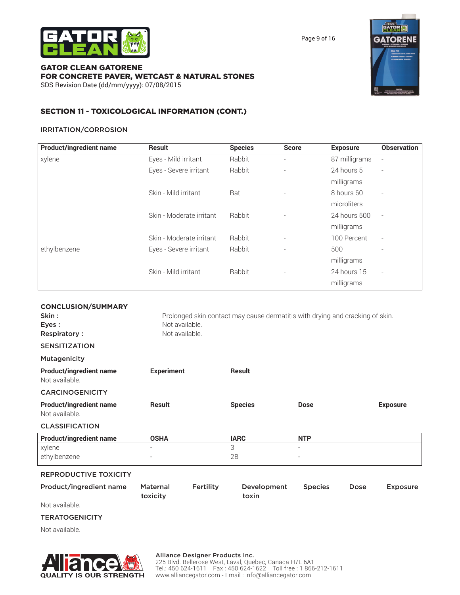

Page 9 of 16

#### GATOR CLEAN GATORENE FOR CONCRETE PAVER, WETCAST & NATURAL STONES SDS Revision Date (dd/mm/yyyy): 07/08/2015



#### SECTION 11 - TOXICOLOGICAL INFORMATION (CONT.)

#### IRRITATION/CORROSION

| <b>Product/ingredient name</b> | <b>Result</b>            | <b>Species</b> | <b>Score</b>                 | <b>Exposure</b> | <b>Observation</b>       |
|--------------------------------|--------------------------|----------------|------------------------------|-----------------|--------------------------|
| xylene                         | Eyes - Mild irritant     | Rabbit         | $\qquad \qquad \blacksquare$ | 87 milligrams   |                          |
|                                | Eyes - Severe irritant   | Rabbit         | $\overline{\phantom{a}}$     | 24 hours 5      | $\overline{\phantom{a}}$ |
|                                |                          |                |                              | milligrams      |                          |
|                                | Skin - Mild irritant     | Rat            |                              | 8 hours 60      |                          |
|                                |                          |                |                              | microliters     |                          |
|                                | Skin - Moderate irritant | Rabbit         |                              | 24 hours 500    |                          |
|                                |                          |                |                              | milligrams      |                          |
|                                | Skin - Moderate irritant | Rabbit         | $\qquad \qquad \blacksquare$ | 100 Percent     | $\overline{\phantom{a}}$ |
| ethylbenzene                   | Eyes - Severe irritant   | Rabbit         | $\overline{\phantom{a}}$     | 500             |                          |
|                                |                          |                |                              | milligrams      |                          |
|                                | Skin - Mild irritant     | Rabbit         |                              | 24 hours 15     | $\overline{\phantom{a}}$ |
|                                |                          |                |                              | milligrams      |                          |

| <b>CONCLUSION/SUMMARY</b>                        |                             |           |                                                                               |                          |      |                 |
|--------------------------------------------------|-----------------------------|-----------|-------------------------------------------------------------------------------|--------------------------|------|-----------------|
| Skin:                                            |                             |           | Prolonged skin contact may cause dermatitis with drying and cracking of skin. |                          |      |                 |
| Eyes:                                            | Not available.              |           |                                                                               |                          |      |                 |
| <b>Respiratory:</b>                              | Not available.              |           |                                                                               |                          |      |                 |
| <b>SENSITIZATION</b>                             |                             |           |                                                                               |                          |      |                 |
| <b>Mutagenicity</b>                              |                             |           |                                                                               |                          |      |                 |
| <b>Product/ingredient name</b><br>Not available. | <b>Experiment</b>           |           | <b>Result</b>                                                                 |                          |      |                 |
| <b>CARCINOGENICITY</b>                           |                             |           |                                                                               |                          |      |                 |
| <b>Product/ingredient name</b><br>Not available. | <b>Result</b>               |           | <b>Species</b>                                                                | <b>Dose</b>              |      | <b>Exposure</b> |
| <b>CLASSIFICATION</b>                            |                             |           |                                                                               |                          |      |                 |
| <b>Product/ingredient name</b>                   | <b>OSHA</b>                 |           | <b>IARC</b>                                                                   | <b>NTP</b>               |      |                 |
| xylene                                           |                             |           | 3                                                                             | $\overline{\phantom{a}}$ |      |                 |
| ethylbenzene                                     |                             |           | 2B                                                                            | $\overline{\phantom{a}}$ |      |                 |
| <b>REPRODUCTIVE TOXICITY</b>                     |                             |           |                                                                               |                          |      |                 |
| Product/ingredient name                          | <b>Maternal</b><br>toxicity | Fertility | Development<br>toxin                                                          | <b>Species</b>           | Dose | <b>Exposure</b> |
| Not available.                                   |                             |           |                                                                               |                          |      |                 |

#### **TERATOGENICITY**

Not available.



#### Alliance Designer Products Inc.

225 Blvd. Bellerose West, Laval, Quebec, Canada H7L 6A1 Tel.: 450 624-1611 Fax : 450 624-1622 Toll free : 1 866-212-1611 www.alliancegator.com - Email : info@alliancegator.com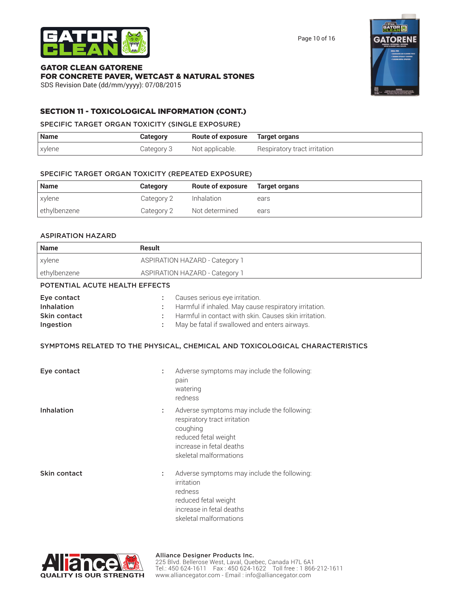

| <b>Name</b>  | <b>Category</b> | Route of exposure Target organs |      |
|--------------|-----------------|---------------------------------|------|
| xylene       | Category 2      | Inhalation                      | ears |
| ethylbenzene | Category 2      | Not determined                  | ears |

#### ASPIRATION HAZARD

| <b>Name</b>                                                   | <b>Result</b>                                                                                                                                                                                               |  |  |
|---------------------------------------------------------------|-------------------------------------------------------------------------------------------------------------------------------------------------------------------------------------------------------------|--|--|
| xylene                                                        | <b>ASPIRATION HAZARD - Category 1</b>                                                                                                                                                                       |  |  |
| ethylbenzene                                                  | <b>ASPIRATION HAZARD - Category 1</b>                                                                                                                                                                       |  |  |
| POTENTIAL ACUTE HEALTH EFFECTS                                |                                                                                                                                                                                                             |  |  |
| Eye contact<br>Inhalation<br><b>Skin contact</b><br>Ingestion | Causes serious eye irritation.<br>t<br>Harmful if inhaled. May cause respiratory irritation.<br>Harmful in contact with skin. Causes skin irritation.<br>May be fatal if swallowed and enters airways.<br>÷ |  |  |
|                                                               | SYMPTOMS RELATED TO THE PHYSICAL, CHEMICAL AND TOXICOLOGICAL CHARACTERISTICS                                                                                                                                |  |  |
| Eye contact                                                   | Adverse symptoms may include the following:<br>t<br>pain<br>watering<br>redness                                                                                                                             |  |  |
| Inhalation                                                    | Adverse symptoms may include the following:<br>t<br>respiratory tract irritation<br>coughing<br>reduced fetal weight<br>increase in fetal deaths<br>skeletal malformations                                  |  |  |
| Skin contact                                                  | Adverse symptoms may include the following:<br>t<br>irritation<br>redness<br>reduced fetal weight<br>increase in fetal deaths<br>skeletal malformations                                                     |  |  |







SDS Revision Date (dd/mm/yyyy): 07/08/2015

FOR CONCRETE PAVER, WETCAST & NATURAL STONES

SECTION 11 - TOXICOLOGICAL INFORMATION (CONT.) SPECIFIC TARGET ORGAN TOXICITY (SINGLE EXPOSURE)

**Name Category Route of exposure Target organs** 

GATOR CLEAN GATORENE

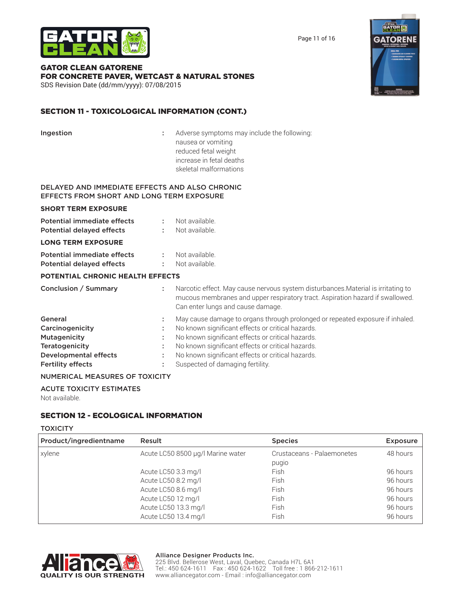

Page 11 of 16

#### GATOR CLEAN GATORENE FOR CONCRETE PAVER, WETCAST & NATURAL STONES SDS Revision Date (dd/mm/yyyy): 07/08/2015

#### SECTION 11 - TOXICOLOGICAL INFORMATION (CONT.)

| Ingestion                                                                                   |          | Adverse symptoms may include the following:<br>nausea or vomiting<br>reduced fetal weight<br>increase in fetal deaths<br>skeletal malformations                                                                                              |
|---------------------------------------------------------------------------------------------|----------|----------------------------------------------------------------------------------------------------------------------------------------------------------------------------------------------------------------------------------------------|
| DELAYED AND IMMEDIATE EFFECTS AND ALSO CHRONIC<br>EFFECTS FROM SHORT AND LONG TERM EXPOSURE |          |                                                                                                                                                                                                                                              |
| <b>SHORT TERM EXPOSURE</b>                                                                  |          |                                                                                                                                                                                                                                              |
| Potential immediate effects<br><b>Potential delayed effects</b>                             |          | Not available.<br>Not available.                                                                                                                                                                                                             |
| <b>LONG TERM EXPOSURE</b>                                                                   |          |                                                                                                                                                                                                                                              |
| <b>Potential immediate effects</b><br><b>Potential delayed effects</b>                      |          | Not available.<br>Not available.                                                                                                                                                                                                             |
| <b>POTENTIAL CHRONIC HEALTH EFFECTS</b>                                                     |          |                                                                                                                                                                                                                                              |
| Conclusion / Summary                                                                        | ÷.       | Narcotic effect. May cause nervous system disturbances. Material is irritating to<br>mucous membranes and upper respiratory tract. Aspiration hazard if swallowed.<br>Can enter lungs and cause damage.                                      |
| General<br>Carcinogenicity<br>Mutagenicity<br><b>Teratogenicity</b>                         | ÷.<br>÷. | May cause damage to organs through prolonged or repeated exposure if inhaled.<br>No known significant effects or critical hazards.<br>No known significant effects or critical hazards.<br>No known significant effects or critical hazards. |
| <b>Developmental effects</b><br><b>Fertility effects</b>                                    |          | No known significant effects or critical hazards.<br>Suspected of damaging fertility.                                                                                                                                                        |

#### NUMERICAL MEASURES OF TOXICITY

ACUTE TOXICITY ESTIMATES Not available.

#### SECTION 12 - ECOLOGICAL INFORMATION

#### **TOXICITY**

| Product/ingredientname | Result                            | <b>Species</b>             | <b>Exposure</b> |
|------------------------|-----------------------------------|----------------------------|-----------------|
| xylene                 | Acute LC50 8500 µg/l Marine water | Crustaceans - Palaemonetes | 48 hours        |
|                        |                                   | pugio                      |                 |
|                        | Acute LC50 3.3 mg/l               | Fish                       | 96 hours        |
|                        | Acute LC50 8.2 mg/l               | Fish                       | 96 hours        |
|                        | Acute LC50 8.6 mg/l               | Fish                       | 96 hours        |
|                        | Acute LC50 12 mg/l                | Fish                       | 96 hours        |
|                        | Acute LC50 13.3 mg/l              | Fish                       | 96 hours        |
|                        | Acute LC50 13.4 mg/l              | Fish                       | 96 hours        |



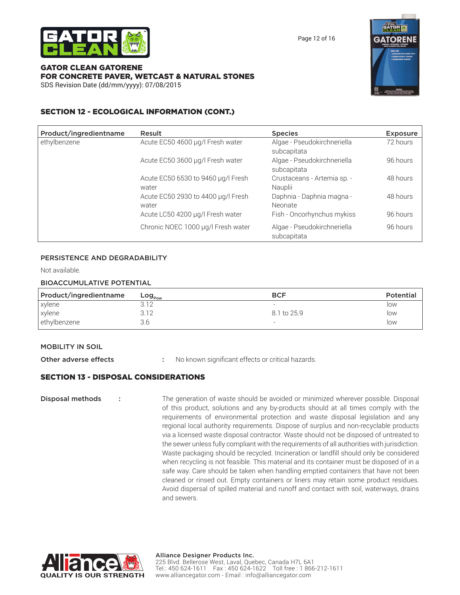

Page 12 of 16

#### GATOR CLEAN GATORENE FOR CONCRETE PAVER, WETCAST & NATURAL STONES SDS Revision Date (dd/mm/yyyy): 07/08/2015



#### SECTION 12 - ECOLOGICAL INFORMATION (CONT.)

| Product/ingredientname | Result                                      | <b>Species</b>                             | <b>Exposure</b> |
|------------------------|---------------------------------------------|--------------------------------------------|-----------------|
| ethylbenzene           | Acute EC50 4600 µg/l Fresh water            | Algae - Pseudokirchneriella<br>subcapitata | 72 hours        |
|                        | Acute EC50 3600 µg/l Fresh water            | Algae - Pseudokirchneriella<br>subcapitata | 96 hours        |
|                        | Acute EC50 6530 to 9460 µg/l Fresh<br>water | Crustaceans - Artemia sp. -<br>Nauplii     | 48 hours        |
|                        | Acute EC50 2930 to 4400 µg/l Fresh<br>water | Daphnia - Daphnia magna -<br>Neonate       | 48 hours        |
|                        | Acute LC50 4200 µg/l Fresh water            | Fish - Oncorhynchus mykiss                 | 96 hours        |
|                        | Chronic NOEC 1000 µg/l Fresh water          | Algae - Pseudokirchneriella<br>subcapitata | 96 hours        |

#### PERSISTENCE AND DEGRADABILITY

Not available.

#### BIOACCUMULATIVE POTENTIAL

| Product/ingredientname | Log $_{_{\mathsf{Pow}}}$ | <b>BCF</b>               | <b>Potential</b> |
|------------------------|--------------------------|--------------------------|------------------|
| xylene                 |                          | $\overline{\phantom{0}}$ | low              |
| xylene                 | 3.12                     | 8.1 to 25.9              | low              |
| ethylbenzene           | 3.E                      | $\overline{\phantom{0}}$ | low              |

#### MOBILITY IN SOIL

Other adverse effects : No known significant effects or critical hazards.

#### SECTION 13 - DISPOSAL CONSIDERATIONS

**Disposal methods** : The generation of waste should be avoided or minimized wherever possible. Disposal of this product, solutions and any by-products should at all times comply with the requirements of environmental protection and waste disposal legislation and any regional local authority requirements. Dispose of surplus and non-recyclable products via a licensed waste disposal contractor. Waste should not be disposed of untreated to the sewer unless fully compliant with the requirements of all authorities with jurisdiction. Waste packaging should be recycled. Incineration or landfill should only be considered when recycling is not feasible. This material and its container must be disposed of in a safe way. Care should be taken when handling emptied containers that have not been cleaned or rinsed out. Empty containers or liners may retain some product residues. Avoid dispersal of spilled material and runoff and contact with soil, waterways, drains and sewers.

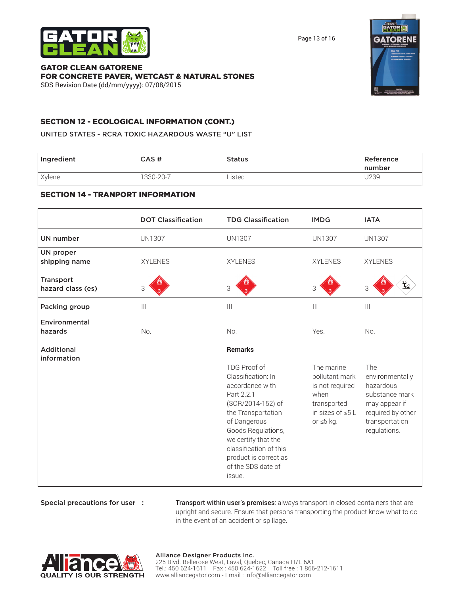



Special precautions for user : Transport within user's premises: always transport in closed containers that are upright and secure. Ensure that persons transporting the product know what to do in the event of an accident or spillage.

| <b>UN proper</b><br>shipping name     | <b>XYLENES</b> | <b>XYLENES</b>                                                                                                                                                                                                                                                                   | <b>XYLENES</b>                                                                                                      | <b>XYLENES</b>                                                                                                                |
|---------------------------------------|----------------|----------------------------------------------------------------------------------------------------------------------------------------------------------------------------------------------------------------------------------------------------------------------------------|---------------------------------------------------------------------------------------------------------------------|-------------------------------------------------------------------------------------------------------------------------------|
| <b>Transport</b><br>hazard class (es) | 3              | 3                                                                                                                                                                                                                                                                                | 3                                                                                                                   | ∞<br>3                                                                                                                        |
| Packing group                         | $\mathbf{III}$ | $\begin{array}{c} \hline \end{array}$                                                                                                                                                                                                                                            | $\begin{array}{c} \hline \end{array}$                                                                               | $\  \, \ $                                                                                                                    |
| Environmental<br>hazards              | No.            | No.                                                                                                                                                                                                                                                                              | Yes.                                                                                                                | No.                                                                                                                           |
| <b>Additional</b><br>information      |                | <b>Remarks</b><br>TDG Proof of<br>Classification: In<br>accordance with<br>Part 2.2.1<br>(SOR/2014-152) of<br>the Transportation<br>of Dangerous<br>Goods Regulations,<br>we certify that the<br>classification of this<br>product is correct as<br>of the SDS date of<br>issue. | The marine<br>pollutant mark<br>is not required<br>when<br>transported<br>in sizes of $\leq 5$ L<br>or $\leq 5$ kg. | The<br>environmentally<br>hazardous<br>substance mark<br>may appear if<br>required by other<br>transportation<br>regulations. |
|                                       |                |                                                                                                                                                                                                                                                                                  |                                                                                                                     |                                                                                                                               |

### SECTION 14 - TRANPORT INFORMATION

## Ingredient **CAS # Status Reference** Reference

SECTION 12 - ECOLOGICAL INFORMATION (CONT.) UNITED STATES - RCRA TOXIC HAZARDOUS WASTE "U" LIST

| FOR CONCRETE PAVER, WETCAST & NATURAL STONES |
|----------------------------------------------|
| SDS Revision Date (dd/mm/yyyy): 07/08/2015   |
|                                              |
|                                              |

Xylene 1330-20-7 Listed U239

UN number UN1307 UN1307 UN1307 UN1307

DOT Classification TDG Classification IMDG IATA

# GATOR CLEAN GATORENE

Page 13 of 16



number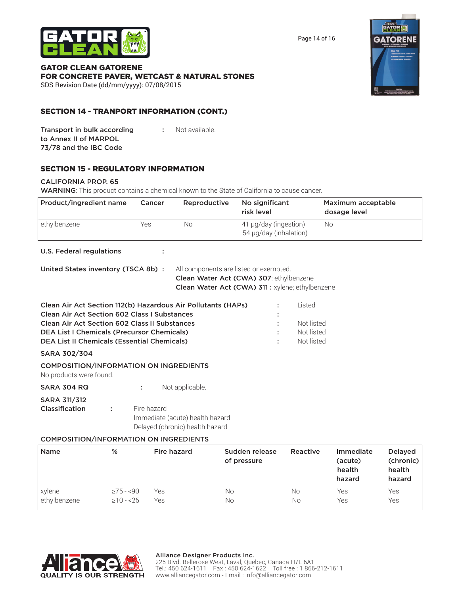

Page 14 of 16

#### GATOR CLEAN GATORENE FOR CONCRETE PAVER, WETCAST & NATURAL STONES SDS Revision Date (dd/mm/yyyy): 07/08/2015



#### SECTION 14 - TRANPORT INFORMATION (CONT.)

| Transport in bulk according | Not available. |
|-----------------------------|----------------|
| to Annex II of MARPOL       |                |
| 73/78 and the IBC Code      |                |

#### SECTION 15 - REGULATORY INFORMATION

#### CALIFORNIA PROP. 65

WARNING: This product contains a chemical known to the State of California to cause cancer.

| Product/ingredient name | Cancer | Reproductive | No significant<br>risk level                    | Maximum acceptable<br>dosage level |
|-------------------------|--------|--------------|-------------------------------------------------|------------------------------------|
| ethylbenzene            | Yes    | No           | 41 µg/day (ingestion)<br>54 µg/day (inhalation) | No                                 |
|                         |        |              |                                                 |                                    |

#### U.S. Federal regulations :

| United States inventory (TSCA 8b): | All components are listed or exempted.           |
|------------------------------------|--------------------------------------------------|
|                                    | Clean Water Act (CWA) 307: ethylbenzene          |
|                                    | Clean Water Act (CWA) 311 : xylene; ethylbenzene |
|                                    |                                                  |

| Clean Air Act Section 112(b) Hazardous Air Pollutants (HAPs) | l isted.   |
|--------------------------------------------------------------|------------|
| <b>Clean Air Act Section 602 Class I Substances</b>          |            |
| <b>Clean Air Act Section 602 Class II Substances</b>         | Not listed |
| <b>DEA List I Chemicals (Precursor Chemicals)</b>            | Not listed |
| <b>DEA List II Chemicals (Essential Chemicals)</b>           | Not listed |
|                                                              |            |

#### SARA 302/304

COMPOSITION/INFORMATION ON INGREDIENTS

No products were found.

| SARA 304 RQ | Not applicable. |
|-------------|-----------------|
|             |                 |

#### SARA 311/312

| Classification | Fire hazard                     |
|----------------|---------------------------------|
|                | Immediate (acute) health hazard |
|                | Delayed (chronic) health hazard |
|                |                                 |

#### COMPOSITION/INFORMATION ON INGREDIENTS

| <b>Name</b>  | %              | Fire hazard | Sudden release<br>of pressure | Reactive | Immediate<br>(acute)<br>health<br>hazard | <b>Delayed</b><br>(chronic)<br>health<br>hazard |
|--------------|----------------|-------------|-------------------------------|----------|------------------------------------------|-------------------------------------------------|
| xylene       | $\geq 75 - 90$ | Yes         | No                            | No       | Yes                                      | Yes                                             |
| ethylbenzene | $\geq 10 - 25$ | Yes         | No                            | No       | Yes                                      | Yes                                             |

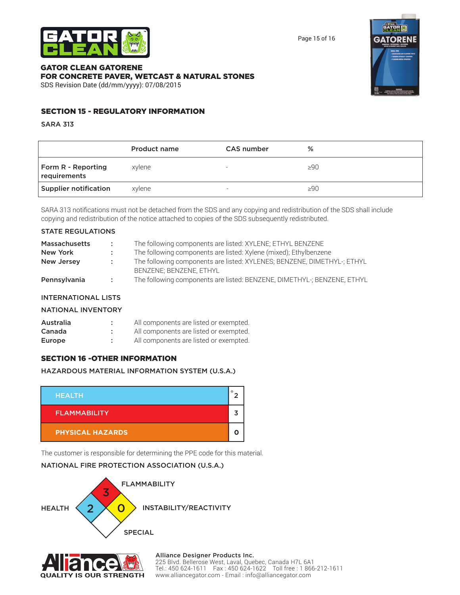

Page 15 of 16

#### GATOR CLEAN GATORENE FOR CONCRETE PAVER, WETCAST & NATURAL STONES SDS Revision Date (dd/mm/yyyy): 07/08/2015



#### SECTION 15 - REGULATORY INFORMATION

SARA 313

|                                    | Product name | CAS number               | %         |
|------------------------------------|--------------|--------------------------|-----------|
| Form R - Reporting<br>requirements | xvlene       | $\overline{\phantom{0}}$ | $\geq 90$ |
| Supplier notification              | xylene       | $\overline{\phantom{0}}$ | >90       |

SARA 313 notifications must not be detached from the SDS and any copying and redistribution of the SDS shall include copying and redistribution of the notice attached to copies of the SDS subsequently redistributed.

#### STATE REGULATIONS

| <b>Massachusetts</b> | -200        | The following components are listed: XYLENE; ETHYL BENZENE              |
|----------------------|-------------|-------------------------------------------------------------------------|
| New York             | ÷.          | The following components are listed: Xylene (mixed); Ethylbenzene       |
| New Jersey           | п.          | The following components are listed: XYLENES; BENZENE, DIMETHYL-; ETHYL |
|                      |             | BENZENE: BENZENE, ETHYL                                                 |
| Pennsylvania         | <b>COLL</b> | The following components are listed: BENZENE, DIMETHYL-; BENZENE, ETHYL |

#### INTERNATIONAL LISTS

#### NATIONAL INVENTORY

| Australia | All components are listed or exempted. |
|-----------|----------------------------------------|
| Canada    | All components are listed or exempted. |
| Europe    | All components are listed or exempted. |

#### SECTION 16 -OTHER INFORMATION

#### HAZARDOUS MATERIAL INFORMATION SYSTEM (U.S.A.)



The customer is responsible for determining the PPE code for this material.

#### NATIONAL FIRE PROTECTION ASSOCIATION (U.S.A.)





Alliance Designer Products Inc. 225 Blvd. Bellerose West, Laval, Quebec, Canada H7L 6A1 Tel.: 450 624-1611 Fax : 450 624-1622 Toll free : 1 866-212-1611 www.alliancegator.com - Email : info@alliancegator.com